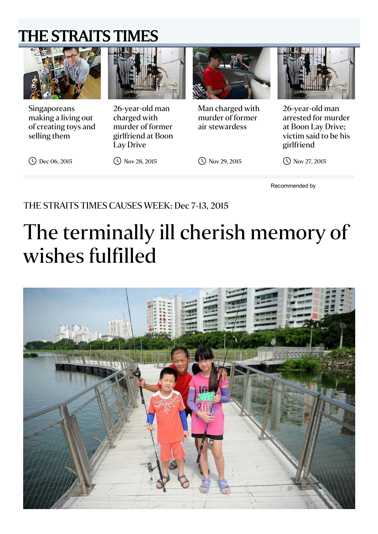### [THE STRAITS TIMES](http://www.straitstimes.com/)



Singaporeans making a living out of creating toys and selling them



26-year-old man charged with murder of former girlfriend at Boon Lay Drive



Man charged with murder of former air stewardess



26-year-old man arrested for murder at Boon Lay Drive; victim said to be his girlfriend

Dec 06, 2015

Nov 28, 2015

Nov 29, 2015

Recommended by

Nov 27, 2015

#### THE STRAITS TIMES CAUSES WEEK: Dec 7-13, 2015

# The terminally ill cherish memory of wishes fulfilled

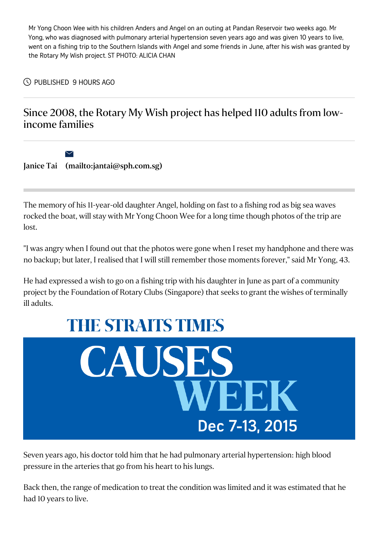Mr Yong Choon Wee with his children Anders and Angel on an outing at Pandan Reservoir two weeks ago. Mr Yong, who was diagnosed with pulmonary arterial hypertension seven years ago and was given 10 years to live, went on a fishing trip to the Southern Islands with Angel and some friends in June, after his wish was granted by the Rotary My Wish project. ST PHOTO: ALICIA CHAN

PUBLISHED 9 HOURS AGO

 $\blacktriangledown$ 

#### Since 2008, the Rotary My Wish project has helped 110 adults from lowincome families

[Janice](http://www.straitstimes.com/authors/janice-tai) Tai [\(mailto:jantai@sph.com.sg\)](mailto:jantai@sph.com.sg)

The memory of his 11-year-old daughter Angel, holding on fast to a fishing rod as big sea waves rocked the boat, will stay with Mr Yong Choon Wee for a long time though photos of the trip are lost.

"I was angry when I found out that the photos were gone when I reset my handphone and there was no backup; but later, I realised that I will still remember those moments forever," said Mr Yong, 43.

He had expressed a wish to go on a fishing trip with his daughter in June as part of a community project by the Foundation of Rotary Clubs (Singapore) that seeks to grant the wishes of terminally ill adults.

## **THE STRAITS TIMES**



Seven years ago, his doctor told him that he had pulmonary arterial hypertension: high blood pressure in the arteries that go from his heart to his lungs.

Back then, the range of medication to treat the condition was limited and it was estimated that he had 10 years to live.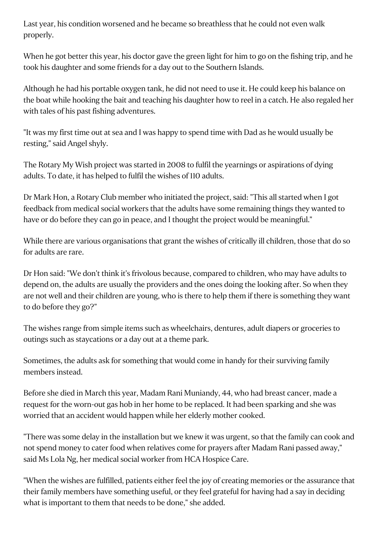Last year, his condition worsened and he became so breathless that he could not even walk properly.

When he got better this year, his doctor gave the green light for him to go on the fishing trip, and he took his daughter and some friends for a day out to the Southern Islands.

Although he had his portable oxygen tank, he did not need to use it. He could keep his balance on the boat while hooking the bait and teaching his daughter how to reel in a catch. He also regaled her with tales of his past fishing adventures.

"It was my first time out at sea and I was happy to spend time with Dad as he would usually be resting," said Angel shyly.

The Rotary My Wish project was started in 2008 to fulfil the yearnings or aspirations of dying adults. To date, it has helped to fulfil the wishes of 110 adults.

Dr Mark Hon, a Rotary Club member who initiated the project, said: "This all started when I got feedback from medical social workers that the adults have some remaining things they wanted to have or do before they can go in peace, and I thought the project would be meaningful."

While there are various organisations that grant the wishes of critically ill children, those that do so for adults are rare.

Dr Hon said: "We don't think it's frivolous because, compared to children, who may have adults to depend on, the adults are usually the providers and the ones doing the looking after. So when they are not well and their children are young, who is there to help them if there is something they want to do before they go?"

The wishes range from simple items such as wheelchairs, dentures, adult diapers or groceries to outings such as staycations or a day out at a theme park.

Sometimes, the adults ask for something that would come in handy for their surviving family members instead.

Before she died in March this year, Madam Rani Muniandy, 44, who had breast cancer, made a request for the worn-out gas hob in her home to be replaced. It had been sparking and she was worried that an accident would happen while her elderly mother cooked.

"There was some delay in the installation but we knew it was urgent, so that the family can cook and not spend money to cater food when relatives come for prayers after Madam Rani passed away," said Ms Lola Ng, her medical social worker from HCA Hospice Care.

"When the wishes are fulfilled, patients either feel the joy of creating memories or the assurance that their family members have something useful, or they feel grateful for having had a say in deciding what is important to them that needs to be done," she added.